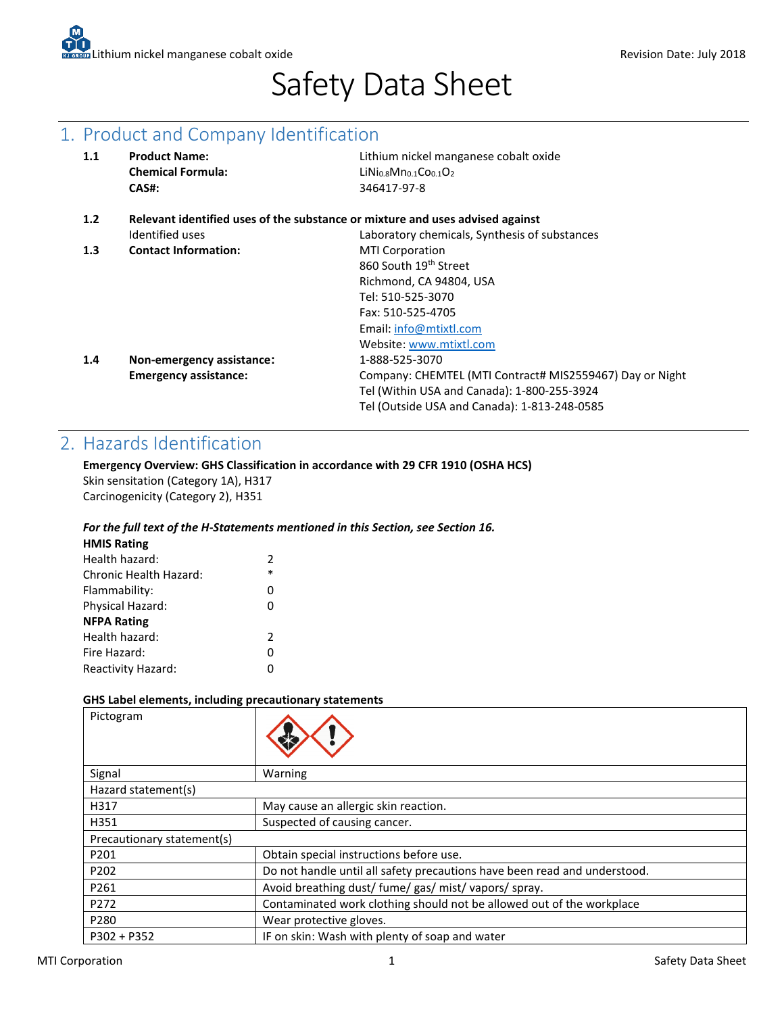# Safety Data Sheet

## 1. Product and Company Identification

| 1.1 | <b>Product Name:</b><br><b>Chemical Formula:</b>                              | Lithium nickel manganese cobalt oxide<br>$LiNi0.8Mn0.1Co0.1O2$ |  |
|-----|-------------------------------------------------------------------------------|----------------------------------------------------------------|--|
|     | CAS#:                                                                         | 346417-97-8                                                    |  |
| 1.2 | Relevant identified uses of the substance or mixture and uses advised against |                                                                |  |
|     | Identified uses                                                               | Laboratory chemicals, Synthesis of substances                  |  |
| 1.3 | <b>Contact Information:</b>                                                   | <b>MTI Corporation</b>                                         |  |
|     |                                                                               | 860 South 19 <sup>th</sup> Street                              |  |
|     |                                                                               | Richmond, CA 94804, USA                                        |  |
|     |                                                                               | Tel: 510-525-3070                                              |  |
|     |                                                                               | Fax: 510-525-4705                                              |  |
|     |                                                                               | Email: info@mtixtl.com                                         |  |
|     |                                                                               | Website: www.mtixtl.com                                        |  |
| 1.4 | Non-emergency assistance:                                                     | 1-888-525-3070                                                 |  |
|     | <b>Emergency assistance:</b>                                                  | Company: CHEMTEL (MTI Contract# MIS2559467) Day or Night       |  |
|     |                                                                               | Tel (Within USA and Canada): 1-800-255-3924                    |  |
|     |                                                                               | Tel (Outside USA and Canada): 1-813-248-0585                   |  |
|     |                                                                               |                                                                |  |

# 2. Hazards Identification

### **Emergency Overview: GHS Classification in accordance with 29 CFR 1910 (OSHA HCS)**

Skin sensitation (Category 1A), H317 Carcinogenicity (Category 2), H351

### *For the full text of the H-Statements mentioned in this Section, see Section 16.*

| <b>HMIS Rating</b>     |               |
|------------------------|---------------|
| Health hazard:         | $\mathcal{P}$ |
| Chronic Health Hazard: | $\ast$        |
| Flammability:          | 0             |
| Physical Hazard:       | 0             |
| <b>NFPA Rating</b>     |               |
| Health hazard:         | $\mathcal{P}$ |
| Fire Hazard:           | 0             |
| Reactivity Hazard:     | 0             |
|                        |               |

### **GHS Label elements, including precautionary statements**

| Pictogram                  |                                                                           |
|----------------------------|---------------------------------------------------------------------------|
| Signal                     | Warning                                                                   |
| Hazard statement(s)        |                                                                           |
| H317                       | May cause an allergic skin reaction.                                      |
| H351                       | Suspected of causing cancer.                                              |
| Precautionary statement(s) |                                                                           |
| P201                       | Obtain special instructions before use.                                   |
| P <sub>202</sub>           | Do not handle until all safety precautions have been read and understood. |
| P261                       | Avoid breathing dust/ fume/ gas/ mist/ vapors/ spray.                     |
| P272                       | Contaminated work clothing should not be allowed out of the workplace     |
| P280                       | Wear protective gloves.                                                   |
| $P302 + P352$              | IF on skin: Wash with plenty of soap and water                            |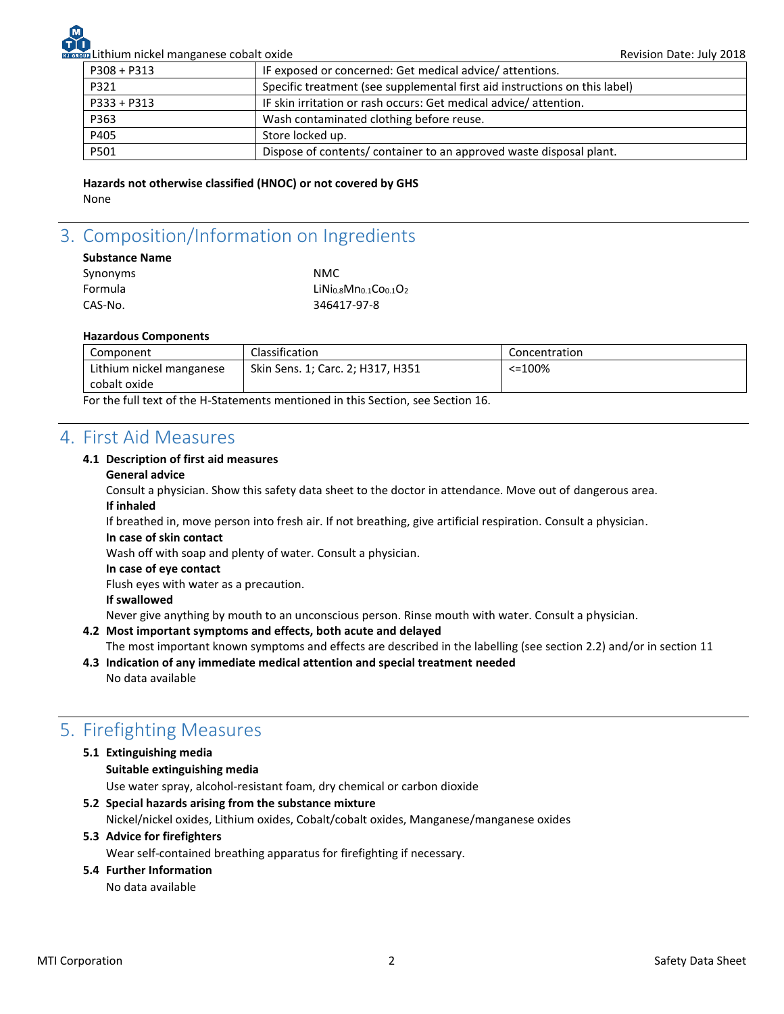Lithium nickel manganese cobalt oxide Revision Date: July 2018 P308 + P313 **IF exposed or concerned: Get medical advice/ attentions.** P321 Specific treatment (see supplemental first aid instructions on this label) P333 + P313 | IF skin irritation or rash occurs: Get medical advice/ attention. P363 Wash contaminated clothing before reuse. P405 Store locked up. P501 Dispose of contents/ container to an approved waste disposal plant.

**Hazards not otherwise classified (HNOC) or not covered by GHS** None

# 3. Composition/Information on Ingredients

### **Substance Name**

| Synonyms | NMC.                |
|----------|---------------------|
| Formula  | LiNio.8Mno.1COo.1O2 |
| CAS-No.  | 346417-97-8         |

### **Hazardous Components**

| Component                                                                                                                                                                                                                     | Classification                     | Concentration |
|-------------------------------------------------------------------------------------------------------------------------------------------------------------------------------------------------------------------------------|------------------------------------|---------------|
| Lithium nickel manganese                                                                                                                                                                                                      | Skin Sens. 1; Carc. 2; H317, H351  | $< = 100%$    |
| cobalt oxide                                                                                                                                                                                                                  |                                    |               |
| $-$ . The second contract of the second contract of the second contract of the second contract of the second contract of the second contract of the second contract of the second contract of the second contract of the seco | $\sim$ $\sim$ $\sim$ $\sim$ $\sim$ |               |

For the full text of the H-Statements mentioned in this Section, see Section 16.

### 4. First Aid Measures

### **4.1 Description of first aid measures**

### **General advice**

Consult a physician. Show this safety data sheet to the doctor in attendance. Move out of dangerous area. **If inhaled**

If breathed in, move person into fresh air. If not breathing, give artificial respiration. Consult a physician.

### **In case of skin contact**

Wash off with soap and plenty of water. Consult a physician.

### **In case of eye contact**

Flush eyes with water as a precaution.

**If swallowed**

Never give anything by mouth to an unconscious person. Rinse mouth with water. Consult a physician.

### **4.2 Most important symptoms and effects, both acute and delayed**

The most important known symptoms and effects are described in the labelling (see section 2.2) and/or in section 11

**4.3 Indication of any immediate medical attention and special treatment needed**  No data available

# 5. Firefighting Measures

### **5.1 Extinguishing media**

**Suitable extinguishing media** 

Use water spray, alcohol-resistant foam, dry chemical or carbon dioxide

### **5.2 Special hazards arising from the substance mixture**

Nickel/nickel oxides, Lithium oxides, Cobalt/cobalt oxides, Manganese/manganese oxides

### **5.3 Advice for firefighters**

Wear self-contained breathing apparatus for firefighting if necessary.

### **5.4 Further Information**

No data available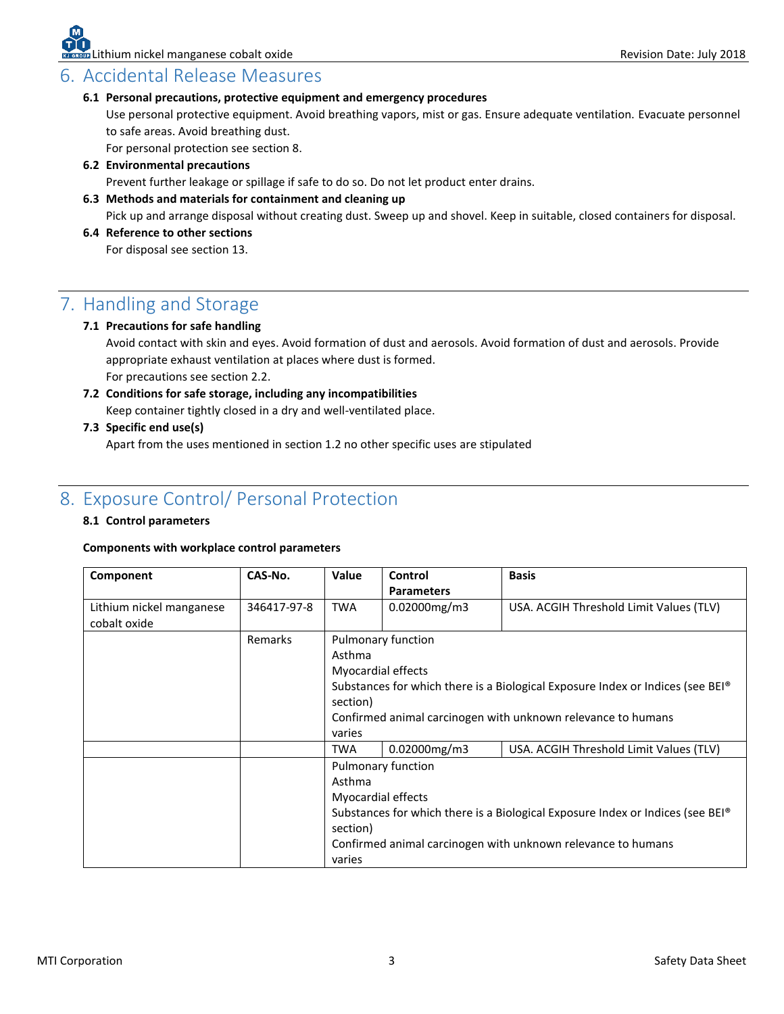### 6. Accidental Release Measures

### **6.1 Personal precautions, protective equipment and emergency procedures**

Use personal protective equipment. Avoid breathing vapors, mist or gas. Ensure adequate ventilation. Evacuate personnel to safe areas. Avoid breathing dust.

For personal protection see section 8.

### **6.2 Environmental precautions**

Prevent further leakage or spillage if safe to do so. Do not let product enter drains.

### **6.3 Methods and materials for containment and cleaning up**

Pick up and arrange disposal without creating dust. Sweep up and shovel. Keep in suitable, closed containers for disposal.

**6.4 Reference to other sections** 

For disposal see section 13.

# 7. Handling and Storage

### **7.1 Precautions for safe handling**

Avoid contact with skin and eyes. Avoid formation of dust and aerosols. Avoid formation of dust and aerosols. Provide appropriate exhaust ventilation at places where dust is formed. For precautions see section 2.2.

**7.2 Conditions for safe storage, including any incompatibilities** Keep container tightly closed in a dry and well-ventilated place.

### **7.3 Specific end use(s)**

Apart from the uses mentioned in section 1.2 no other specific uses are stipulated

# 8. Exposure Control/ Personal Protection

### **8.1 Control parameters**

### **Components with workplace control parameters**

| Component                                | CAS-No.     | <b>Value</b>                                                                                                                                                                                                                                                                                              | Control<br><b>Parameters</b>             | <b>Basis</b>                                                                                                                                               |
|------------------------------------------|-------------|-----------------------------------------------------------------------------------------------------------------------------------------------------------------------------------------------------------------------------------------------------------------------------------------------------------|------------------------------------------|------------------------------------------------------------------------------------------------------------------------------------------------------------|
| Lithium nickel manganese<br>cobalt oxide | 346417-97-8 | <b>TWA</b>                                                                                                                                                                                                                                                                                                | $0.02000$ mg/m3                          | USA. ACGIH Threshold Limit Values (TLV)                                                                                                                    |
|                                          | Remarks     | Asthma<br>section)<br>varies                                                                                                                                                                                                                                                                              | Pulmonary function<br>Myocardial effects | Substances for which there is a Biological Exposure Index or Indices (see BEI <sup>®</sup><br>Confirmed animal carcinogen with unknown relevance to humans |
|                                          |             | $0.02000$ mg/m $3$<br>USA. ACGIH Threshold Limit Values (TLV)<br><b>TWA</b><br>Pulmonary function<br>Asthma<br>Myocardial effects<br>Substances for which there is a Biological Exposure Index or Indices (see BEI®<br>section)<br>Confirmed animal carcinogen with unknown relevance to humans<br>varies |                                          |                                                                                                                                                            |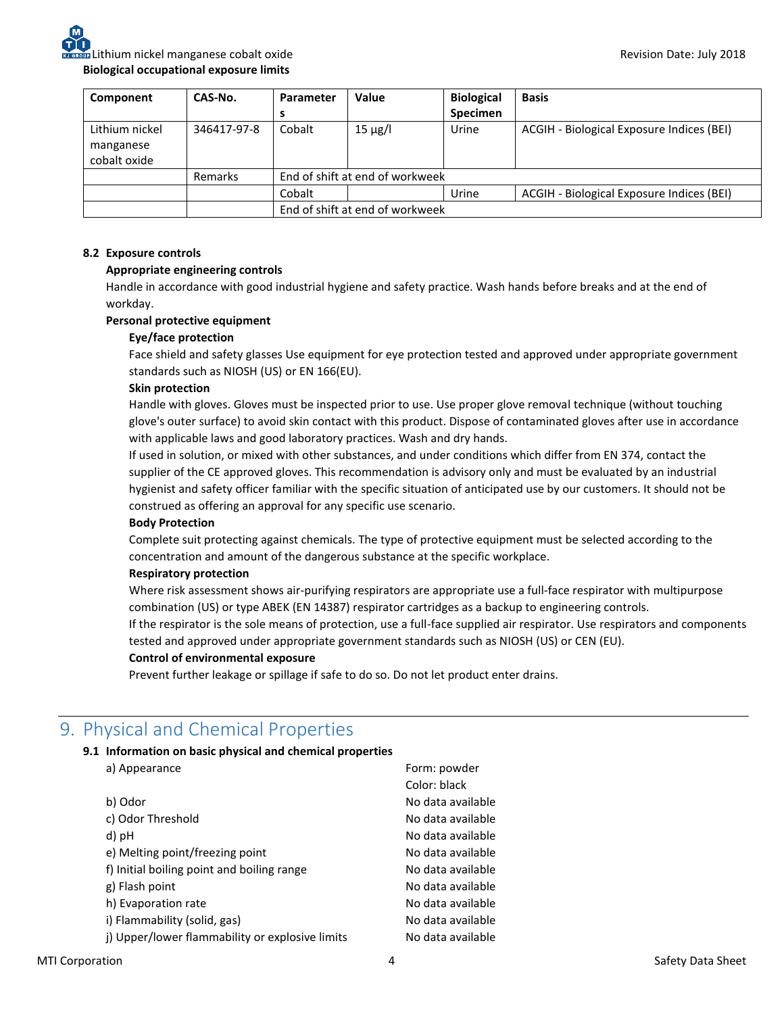| Component                                   | CAS-No.        | Parameter                       | Value        | <b>Biological</b> | <b>Basis</b>                              |
|---------------------------------------------|----------------|---------------------------------|--------------|-------------------|-------------------------------------------|
|                                             |                |                                 |              | <b>Specimen</b>   |                                           |
| Lithium nickel<br>manganese<br>cobalt oxide | 346417-97-8    | Cobalt                          | $15 \mu g/l$ | Urine             | ACGIH - Biological Exposure Indices (BEI) |
|                                             | <b>Remarks</b> | End of shift at end of workweek |              |                   |                                           |
|                                             |                | Cobalt                          |              | Urine             | ACGIH - Biological Exposure Indices (BEI) |
|                                             |                | End of shift at end of workweek |              |                   |                                           |

### **8.2 Exposure controls**

### **Appropriate engineering controls**

Handle in accordance with good industrial hygiene and safety practice. Wash hands before breaks and at the end of workday.

### **Personal protective equipment**

### **Eye/face protection**

Face shield and safety glasses Use equipment for eye protection tested and approved under appropriate government standards such as NIOSH (US) or EN 166(EU).

### **Skin protection**

Handle with gloves. Gloves must be inspected prior to use. Use proper glove removal technique (without touching glove's outer surface) to avoid skin contact with this product. Dispose of contaminated gloves after use in accordance with applicable laws and good laboratory practices. Wash and dry hands.

If used in solution, or mixed with other substances, and under conditions which differ from EN 374, contact the supplier of the CE approved gloves. This recommendation is advisory only and must be evaluated by an industrial hygienist and safety officer familiar with the specific situation of anticipated use by our customers. It should not be construed as offering an approval for any specific use scenario.

#### **Body Protection**

Complete suit protecting against chemicals. The type of protective equipment must be selected according to the concentration and amount of the dangerous substance at the specific workplace.

#### **Respiratory protection**

Where risk assessment shows air-purifying respirators are appropriate use a full-face respirator with multipurpose combination (US) or type ABEK (EN 14387) respirator cartridges as a backup to engineering controls.

If the respirator is the sole means of protection, use a full-face supplied air respirator. Use respirators and components tested and approved under appropriate government standards such as NIOSH (US) or CEN (EU).

#### **Control of environmental exposure**

Prevent further leakage or spillage if safe to do so. Do not let product enter drains.

### 9. Physical and Chemical Properties

### **9.1 Information on basic physical and chemical properties**

a) Appearance Form: powder

|                                                 | Color: black      |
|-------------------------------------------------|-------------------|
| b) Odor                                         | No data available |
| c) Odor Threshold                               | No data available |
| d) pH                                           | No data available |
| e) Melting point/freezing point                 | No data available |
| f) Initial boiling point and boiling range      | No data available |
| g) Flash point                                  | No data available |
| h) Evaporation rate                             | No data available |
| i) Flammability (solid, gas)                    | No data available |
| j) Upper/lower flammability or explosive limits | No data available |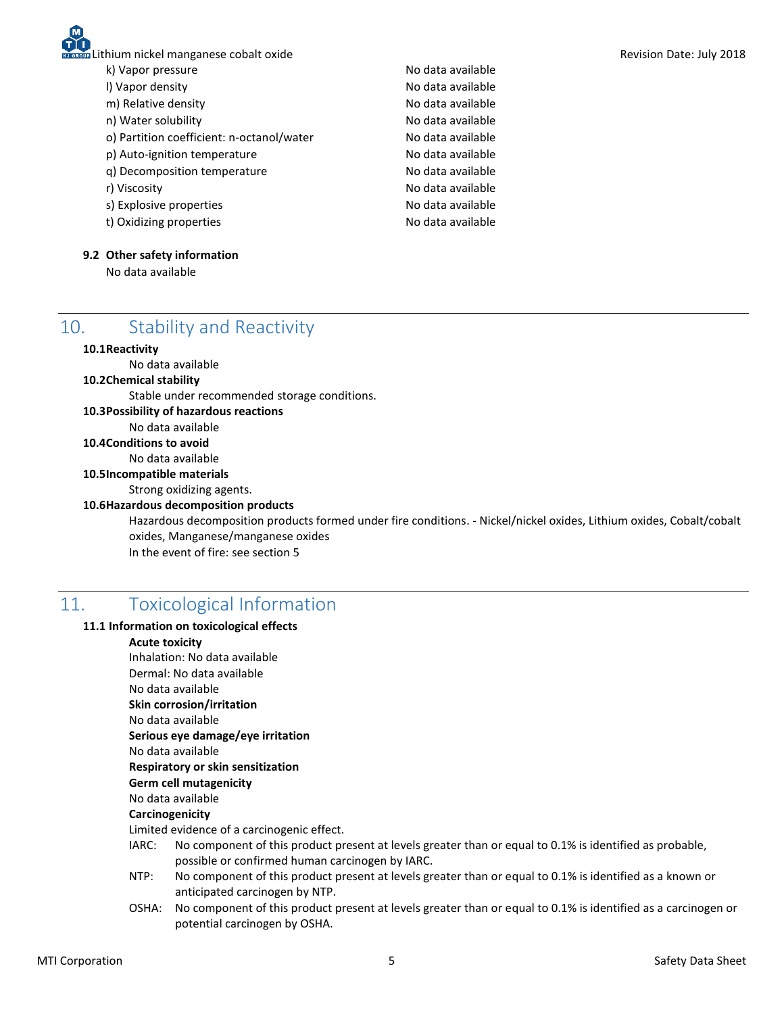k) Vapor pressure and the non-terminal control of No data available

- 
- 
- 
- o) Partition coefficient: n-octanol/water No data available
- p) Auto-ignition temperature and a series are No data available
- q) Decomposition temperature No data available
- 
- s) Explosive properties and a set of the No data available
- t) Oxidizing properties and the state of the No data available

### **9.2 Other safety information**

No data available

l) Vapor density and a series are all the No data available m) Relative density and the state of the No data available n) Water solubility and the solubility and the No data available r) Viscosity **No data available** 

# 10. Stability and Reactivity

### **10.1Reactivity**

No data available

### **10.2Chemical stability**

Stable under recommended storage conditions.

### **10.3Possibility of hazardous reactions**

No data available

### **10.4Conditions to avoid**

No data available

### **10.5Incompatible materials**

Strong oxidizing agents.

### **10.6Hazardous decomposition products**

Hazardous decomposition products formed under fire conditions. - Nickel/nickel oxides, Lithium oxides, Cobalt/cobalt oxides, Manganese/manganese oxides In the event of fire: see section 5

# 11. Toxicological Information

### **11.1 Information on toxicological effects**

#### **Acute toxicity**

Inhalation: No data available Dermal: No data available

### No data available

**Skin corrosion/irritation**

No data available

**Serious eye damage/eye irritation**

No data available

### **Respiratory or skin sensitization**

**Germ cell mutagenicity**

### No data available

### **Carcinogenicity**

Limited evidence of a carcinogenic effect.

- IARC: No component of this product present at levels greater than or equal to 0.1% is identified as probable, possible or confirmed human carcinogen by IARC.
- NTP: No component of this product present at levels greater than or equal to 0.1% is identified as a known or anticipated carcinogen by NTP.
- OSHA: No component of this product present at levels greater than or equal to 0.1% is identified as a carcinogen or potential carcinogen by OSHA.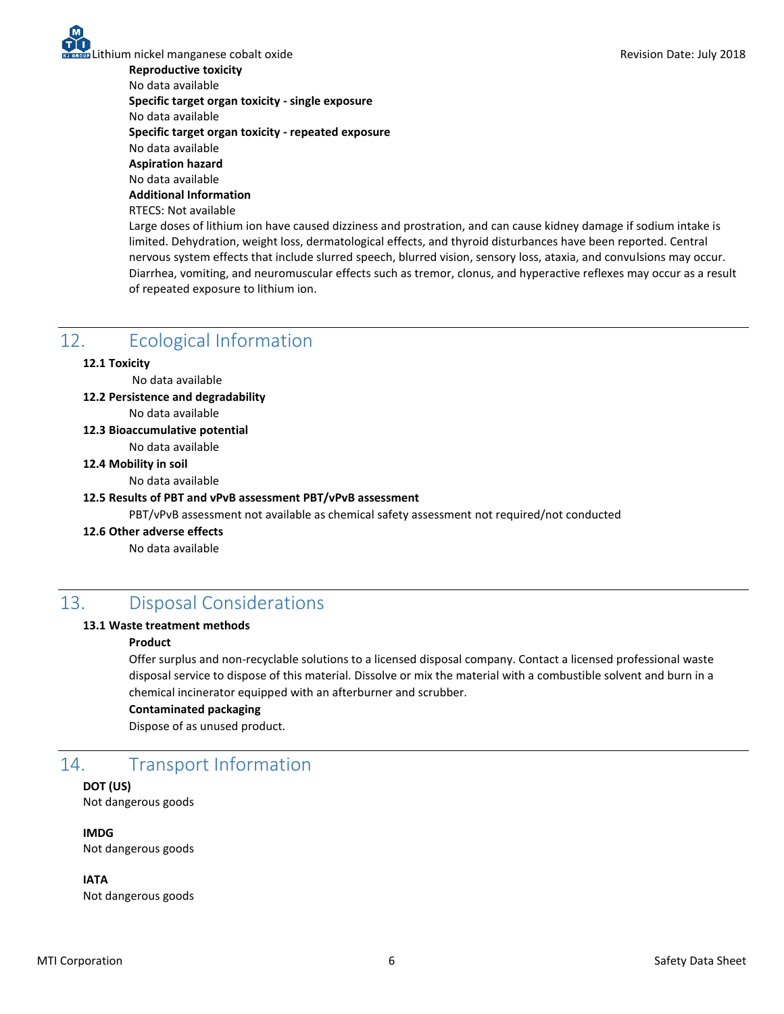Lithium nickel manganese cobalt oxide Revision Date: July 2018

**Reproductive toxicity**

No data available

**Specific target organ toxicity - single exposure**

No data available

**Specific target organ toxicity - repeated exposure**

No data available

**Aspiration hazard**

No data available **Additional Information**

RTECS: Not available

Large doses of lithium ion have caused dizziness and prostration, and can cause kidney damage if sodium intake is limited. Dehydration, weight loss, dermatological effects, and thyroid disturbances have been reported. Central nervous system effects that include slurred speech, blurred vision, sensory loss, ataxia, and convulsions may occur. Diarrhea, vomiting, and neuromuscular effects such as tremor, clonus, and hyperactive reflexes may occur as a result of repeated exposure to lithium ion.

### 12. Ecological Information

### **12.1 Toxicity**

No data available

**12.2 Persistence and degradability** 

- No data available
- **12.3 Bioaccumulative potential**

No data available

### **12.4 Mobility in soil**

No data available

### **12.5 Results of PBT and vPvB assessment PBT/vPvB assessment**

PBT/vPvB assessment not available as chemical safety assessment not required/not conducted

#### **12.6 Other adverse effects**

No data available

### 13. Disposal Considerations

### **13.1 Waste treatment methods**

### **Product**

Offer surplus and non-recyclable solutions to a licensed disposal company. Contact a licensed professional waste disposal service to dispose of this material. Dissolve or mix the material with a combustible solvent and burn in a chemical incinerator equipped with an afterburner and scrubber.

### **Contaminated packaging**

Dispose of as unused product.

# 14. Transport Information

**DOT (US)** Not dangerous goods

**IMDG** Not dangerous goods

**IATA** Not dangerous goods